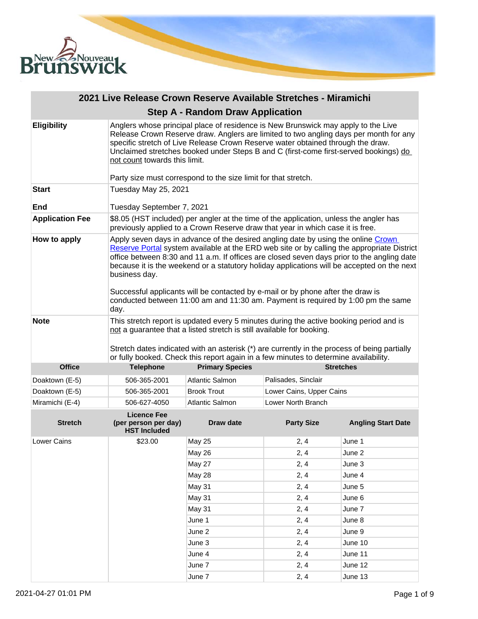

| 2021 Live Release Crown Reserve Available Stretches - Miramichi |                                                                                                                                                                                                                                                                                                                                                                                                                                                                                                                                                                             |                                                                                                                                                                          |                          |                           |
|-----------------------------------------------------------------|-----------------------------------------------------------------------------------------------------------------------------------------------------------------------------------------------------------------------------------------------------------------------------------------------------------------------------------------------------------------------------------------------------------------------------------------------------------------------------------------------------------------------------------------------------------------------------|--------------------------------------------------------------------------------------------------------------------------------------------------------------------------|--------------------------|---------------------------|
|                                                                 |                                                                                                                                                                                                                                                                                                                                                                                                                                                                                                                                                                             | <b>Step A - Random Draw Application</b>                                                                                                                                  |                          |                           |
| <b>Eligibility</b>                                              | Anglers whose principal place of residence is New Brunswick may apply to the Live<br>Release Crown Reserve draw. Anglers are limited to two angling days per month for any<br>specific stretch of Live Release Crown Reserve water obtained through the draw.<br>Unclaimed stretches booked under Steps B and C (first-come first-served bookings) do<br>not count towards this limit.                                                                                                                                                                                      |                                                                                                                                                                          |                          |                           |
| <b>Start</b>                                                    | Party size must correspond to the size limit for that stretch.<br>Tuesday May 25, 2021                                                                                                                                                                                                                                                                                                                                                                                                                                                                                      |                                                                                                                                                                          |                          |                           |
|                                                                 |                                                                                                                                                                                                                                                                                                                                                                                                                                                                                                                                                                             |                                                                                                                                                                          |                          |                           |
| End                                                             | Tuesday September 7, 2021                                                                                                                                                                                                                                                                                                                                                                                                                                                                                                                                                   |                                                                                                                                                                          |                          |                           |
| <b>Application Fee</b>                                          |                                                                                                                                                                                                                                                                                                                                                                                                                                                                                                                                                                             | \$8.05 (HST included) per angler at the time of the application, unless the angler has<br>previously applied to a Crown Reserve draw that year in which case it is free. |                          |                           |
| How to apply                                                    | Apply seven days in advance of the desired angling date by using the online Crown<br>Reserve Portal system available at the ERD web site or by calling the appropriate District<br>office between 8:30 and 11 a.m. If offices are closed seven days prior to the angling date<br>because it is the weekend or a statutory holiday applications will be accepted on the next<br>business day.<br>Successful applicants will be contacted by e-mail or by phone after the draw is<br>conducted between 11:00 am and 11:30 am. Payment is required by 1:00 pm the same<br>day. |                                                                                                                                                                          |                          |                           |
| <b>Note</b>                                                     | This stretch report is updated every 5 minutes during the active booking period and is<br>not a guarantee that a listed stretch is still available for booking.<br>Stretch dates indicated with an asterisk (*) are currently in the process of being partially<br>or fully booked. Check this report again in a few minutes to determine availability.                                                                                                                                                                                                                     |                                                                                                                                                                          |                          |                           |
| <b>Office</b>                                                   | <b>Telephone</b>                                                                                                                                                                                                                                                                                                                                                                                                                                                                                                                                                            | <b>Primary Species</b>                                                                                                                                                   |                          | <b>Stretches</b>          |
| Doaktown (E-5)                                                  | 506-365-2001                                                                                                                                                                                                                                                                                                                                                                                                                                                                                                                                                                | <b>Atlantic Salmon</b>                                                                                                                                                   | Palisades, Sinclair      |                           |
| Doaktown (E-5)                                                  | 506-365-2001                                                                                                                                                                                                                                                                                                                                                                                                                                                                                                                                                                | <b>Brook Trout</b>                                                                                                                                                       | Lower Cains, Upper Cains |                           |
| Miramichi (E-4)                                                 | 506-627-4050                                                                                                                                                                                                                                                                                                                                                                                                                                                                                                                                                                | <b>Atlantic Salmon</b>                                                                                                                                                   | Lower North Branch       |                           |
| <b>Stretch</b>                                                  | <b>Licence Fee</b><br>(per person per day)<br><b>HST Included</b>                                                                                                                                                                                                                                                                                                                                                                                                                                                                                                           | <b>Draw date</b>                                                                                                                                                         | <b>Party Size</b>        | <b>Angling Start Date</b> |
| Lower Cains                                                     | \$23.00                                                                                                                                                                                                                                                                                                                                                                                                                                                                                                                                                                     | <b>May 25</b>                                                                                                                                                            | 2, 4                     | June 1                    |
|                                                                 |                                                                                                                                                                                                                                                                                                                                                                                                                                                                                                                                                                             | May 26                                                                                                                                                                   | 2, 4                     | June 2                    |
|                                                                 |                                                                                                                                                                                                                                                                                                                                                                                                                                                                                                                                                                             | May 27                                                                                                                                                                   | 2, 4                     | June 3                    |
|                                                                 |                                                                                                                                                                                                                                                                                                                                                                                                                                                                                                                                                                             | May 28                                                                                                                                                                   | 2, 4                     | June 4                    |
|                                                                 |                                                                                                                                                                                                                                                                                                                                                                                                                                                                                                                                                                             | <b>May 31</b>                                                                                                                                                            | 2, 4                     | June 5                    |
|                                                                 |                                                                                                                                                                                                                                                                                                                                                                                                                                                                                                                                                                             | May 31                                                                                                                                                                   | 2, 4                     | June 6                    |
|                                                                 |                                                                                                                                                                                                                                                                                                                                                                                                                                                                                                                                                                             | May 31                                                                                                                                                                   | 2, 4                     | June 7                    |
|                                                                 |                                                                                                                                                                                                                                                                                                                                                                                                                                                                                                                                                                             | June 1                                                                                                                                                                   | 2, 4                     | June 8                    |
|                                                                 |                                                                                                                                                                                                                                                                                                                                                                                                                                                                                                                                                                             | June 2                                                                                                                                                                   | 2, 4                     | June 9                    |

June 3 2, 4 June 10 June 4 2, 4 June 11 June 7 2, 4 June 12 June 7 2, 4 June 13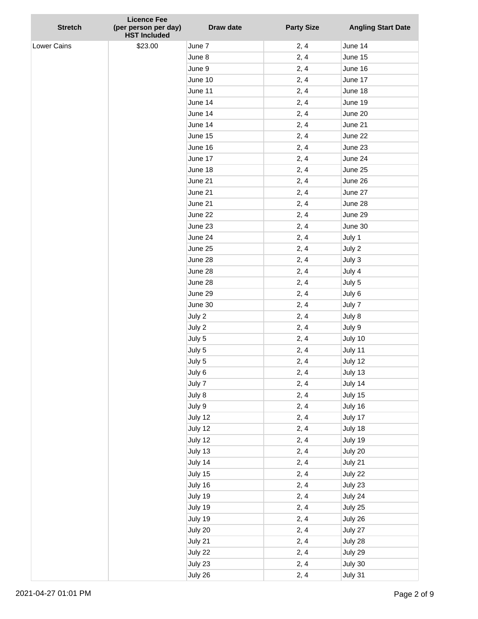| <b>Stretch</b>     | <b>Licence Fee</b><br>(per person per day) | Draw date          | <b>Party Size</b> | <b>Angling Start Date</b> |
|--------------------|--------------------------------------------|--------------------|-------------------|---------------------------|
|                    | <b>HST Included</b>                        |                    |                   |                           |
| <b>Lower Cains</b> | \$23.00                                    | June 7             | 2, 4              | June 14                   |
|                    |                                            | June 8             | 2, 4              | June 15                   |
|                    |                                            | June 9             | 2, 4              | June 16                   |
|                    |                                            | June 10            | 2, 4              | June 17                   |
|                    |                                            | June 11            | 2, 4              | June 18                   |
|                    |                                            | June 14            | 2, 4              | June 19                   |
|                    |                                            | June 14            | 2, 4              | June 20                   |
|                    |                                            | June 14            | 2, 4              | June 21                   |
|                    |                                            | June 15            | 2, 4              | June 22                   |
|                    |                                            | June 16            | 2, 4              | June 23                   |
|                    |                                            | June 17            | 2, 4              | June 24                   |
|                    |                                            | June 18            | 2, 4              | June 25                   |
|                    |                                            | June 21            | 2, 4              | June 26                   |
|                    |                                            | June 21            | 2, 4              | June 27                   |
|                    |                                            | June 21            | 2, 4              | June 28                   |
|                    |                                            | June 22            | 2, 4              | June 29                   |
|                    |                                            | June 23            | 2, 4              | June 30                   |
|                    |                                            | June 24            | 2, 4              | July 1                    |
|                    |                                            | June 25            | 2, 4              | July 2                    |
|                    |                                            | June 28            | 2, 4              | July 3                    |
|                    |                                            | June 28            | 2, 4              | July 4                    |
|                    |                                            | June 28            | 2, 4              | July 5                    |
|                    |                                            | June 29            | 2, 4              | July 6                    |
|                    |                                            | June 30            | 2, 4              | July 7                    |
|                    |                                            | July 2             | 2, 4              | July 8                    |
|                    |                                            | July 2             | 2, 4              | July 9                    |
|                    |                                            | July 5             | 2, 4              | July 10                   |
|                    |                                            | July 5             | 2, 4              | July 11                   |
|                    |                                            | July 5             | 2, 4              | July 12                   |
|                    |                                            | July 6             | 2, 4              | July 13                   |
|                    |                                            | July 7             | 2, 4              | July 14                   |
|                    |                                            | July 8             | 2, 4              | July 15                   |
|                    |                                            | July 9             | 2, 4              | July 16                   |
|                    |                                            | July 12            | 2, 4              | July 17                   |
|                    |                                            | July 12            | 2, 4              | July 18                   |
|                    |                                            | July 12            | 2, 4              | July 19                   |
|                    |                                            | July 13            | 2, 4              | July 20                   |
|                    |                                            | July 14            | 2, 4              | July 21                   |
|                    |                                            | July 15            | 2, 4              | July 22                   |
|                    |                                            | July 16            | 2, 4              | July 23                   |
|                    |                                            | July 19            | 2, 4              | July 24                   |
|                    |                                            | July 19            | 2, 4              | July 25                   |
|                    |                                            | July 19            | 2, 4              | July 26                   |
|                    |                                            | July 20            | 2, 4<br>2, 4      | July 27                   |
|                    |                                            | July 21            |                   | July 28                   |
|                    |                                            | July 22<br>July 23 | 2, 4<br>2, 4      | July 29<br>July 30        |
|                    |                                            | July 26            | 2, 4              | July 31                   |
|                    |                                            |                    |                   |                           |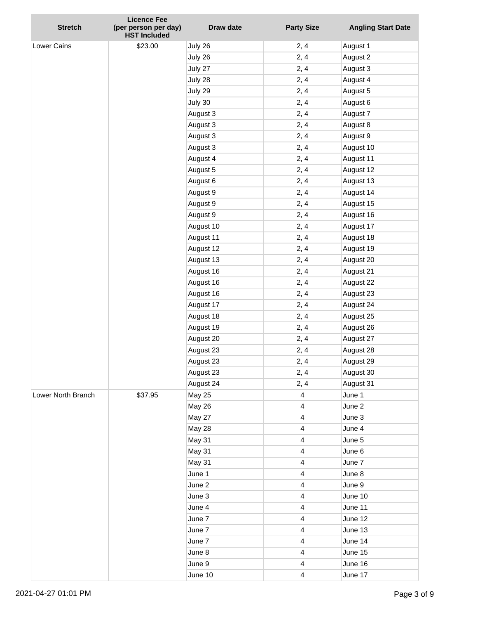|                    | <b>Licence Fee</b>                          |               |                         |                           |
|--------------------|---------------------------------------------|---------------|-------------------------|---------------------------|
| <b>Stretch</b>     | (per person per day)<br><b>HST Included</b> | Draw date     | <b>Party Size</b>       | <b>Angling Start Date</b> |
| <b>Lower Cains</b> | \$23.00                                     | July 26       | 2, 4                    | August 1                  |
|                    |                                             | July 26       | 2, 4                    | August 2                  |
|                    |                                             | July 27       | 2, 4                    | August 3                  |
|                    |                                             | July 28       | 2, 4                    | August 4                  |
|                    |                                             | July 29       | 2, 4                    | August 5                  |
|                    |                                             | July 30       | 2, 4                    | August 6                  |
|                    |                                             | August 3      | 2, 4                    | August 7                  |
|                    |                                             | August 3      | 2, 4                    | August 8                  |
|                    |                                             | August 3      | 2, 4                    | August 9                  |
|                    |                                             | August 3      | 2, 4                    | August 10                 |
|                    |                                             | August 4      | 2, 4                    | August 11                 |
|                    |                                             | August 5      | 2, 4                    | August 12                 |
|                    |                                             | August 6      | 2, 4                    | August 13                 |
|                    |                                             | August 9      | 2, 4                    | August 14                 |
|                    |                                             | August 9      | 2, 4                    | August 15                 |
|                    |                                             | August 9      | 2, 4                    | August 16                 |
|                    |                                             | August 10     | 2, 4                    | August 17                 |
|                    |                                             | August 11     | 2, 4                    | August 18                 |
|                    |                                             | August 12     | 2, 4                    | August 19                 |
|                    |                                             | August 13     | 2, 4                    | August 20                 |
|                    |                                             | August 16     | 2, 4                    | August 21                 |
|                    |                                             | August 16     | 2, 4                    | August 22                 |
|                    |                                             | August 16     | 2, 4                    | August 23                 |
|                    |                                             | August 17     | 2, 4                    | August 24                 |
|                    |                                             | August 18     | 2, 4                    | August 25                 |
|                    |                                             | August 19     | 2, 4                    | August 26                 |
|                    |                                             | August 20     | 2, 4                    | August 27                 |
|                    |                                             | August 23     | 2, 4                    | August 28                 |
|                    |                                             | August 23     | 2, 4                    | August 29                 |
|                    |                                             | August 23     | 2, 4                    | August 30                 |
|                    |                                             | August 24     | 2, 4                    | August 31                 |
| Lower North Branch | \$37.95                                     | <b>May 25</b> | $\overline{\mathbf{4}}$ | June 1                    |
|                    |                                             | <b>May 26</b> | $\overline{\mathbf{4}}$ | June 2                    |
|                    |                                             | May 27        | 4                       | June 3                    |
|                    |                                             | May 28        | 4                       | June 4                    |
|                    |                                             | May 31        | 4                       | June 5                    |
|                    |                                             | <b>May 31</b> | 4                       | June 6                    |
|                    |                                             | May 31        | $\overline{\mathbf{4}}$ | June 7                    |
|                    |                                             | June 1        | 4                       | June 8                    |
|                    |                                             | June 2        | 4                       | June 9                    |
|                    |                                             | June 3        | 4                       | June 10                   |
|                    |                                             | June 4        | 4                       | June 11                   |
|                    |                                             | June 7        | $\overline{\mathbf{4}}$ | June 12                   |
|                    |                                             | June 7        | 4                       | June 13                   |
|                    |                                             | June 7        | 4                       | June 14                   |
|                    |                                             | June 8        | 4                       | June 15                   |
|                    |                                             | June 9        | 4                       | June 16                   |
|                    |                                             | June 10       | $\overline{\mathbf{4}}$ | June 17                   |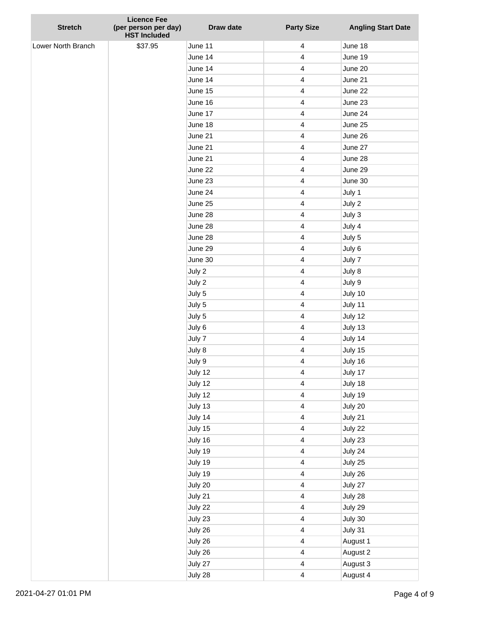| <b>Stretch</b>     | <b>Licence Fee</b><br>(per person per day) | Draw date | <b>Party Size</b>       | <b>Angling Start Date</b> |
|--------------------|--------------------------------------------|-----------|-------------------------|---------------------------|
|                    | <b>HST Included</b>                        |           |                         |                           |
| Lower North Branch | \$37.95                                    | June 11   | $\overline{4}$          | June 18                   |
|                    |                                            | June 14   | $\overline{\mathbf{4}}$ | June 19                   |
|                    |                                            | June 14   | $\overline{4}$          | June 20                   |
|                    |                                            | June 14   | $\overline{\mathbf{4}}$ | June 21                   |
|                    |                                            | June 15   | 4                       | June 22                   |
|                    |                                            | June 16   | $\overline{4}$          | June 23                   |
|                    |                                            | June 17   | 4                       | June 24                   |
|                    |                                            | June 18   | $\overline{4}$          | June 25                   |
|                    |                                            | June 21   | $\overline{4}$          | June 26                   |
|                    |                                            | June 21   | 4                       | June 27                   |
|                    |                                            | June 21   | $\overline{4}$          | June 28                   |
|                    |                                            | June 22   | 4                       | June 29                   |
|                    |                                            | June 23   | $\overline{\mathbf{4}}$ | June 30                   |
|                    |                                            | June 24   | $\overline{4}$          | July 1                    |
|                    |                                            | June 25   | $\overline{4}$          | July 2                    |
|                    |                                            | June 28   | $\overline{4}$          | July 3                    |
|                    |                                            | June 28   | 4                       | July 4                    |
|                    |                                            | June 28   | $\overline{4}$          | July 5                    |
|                    |                                            | June 29   | $\overline{4}$          | July 6                    |
|                    |                                            | June 30   | $\overline{\mathbf{4}}$ | July 7                    |
|                    |                                            | July 2    | $\overline{4}$          | July 8                    |
|                    |                                            | July 2    | 4                       | July 9                    |
|                    |                                            | July 5    | $\overline{4}$          | July 10                   |
|                    |                                            | July 5    | 4                       | July 11                   |
|                    |                                            | July 5    | $\overline{\mathbf{4}}$ | July 12                   |
|                    |                                            | July 6    | $\overline{4}$          | July 13                   |
|                    |                                            | July 7    | 4                       | July 14                   |
|                    |                                            | July 8    | $\overline{4}$          | July 15                   |
|                    |                                            | July 9    | 4                       | July 16                   |
|                    |                                            | July 12   | $\overline{\mathbf{4}}$ | July 17                   |
|                    |                                            | July 12   | $\overline{\mathbf{4}}$ | July 18                   |
|                    |                                            | July 12   | $\overline{4}$          | July 19                   |
|                    |                                            | July 13   | $\overline{\mathbf{4}}$ | July 20                   |
|                    |                                            | July 14   | $\overline{\mathbf{4}}$ | July 21                   |
|                    |                                            | July 15   | $\overline{\mathbf{4}}$ | July 22                   |
|                    |                                            | July 16   | $\overline{\mathbf{4}}$ | July 23                   |
|                    |                                            | July 19   | $\overline{\mathbf{4}}$ | July 24                   |
|                    |                                            | July 19   | $\overline{\mathbf{4}}$ | July 25                   |
|                    |                                            | July 19   | $\overline{4}$          | July 26                   |
|                    |                                            | July 20   | $\overline{4}$          | July 27                   |
|                    |                                            | July 21   | $\overline{\mathbf{4}}$ | July 28                   |
|                    |                                            | July 22   | $\overline{\mathbf{4}}$ | July 29                   |
|                    |                                            | July 23   | $\overline{\mathbf{4}}$ | July 30                   |
|                    |                                            | July 26   | $\overline{4}$          | July 31                   |
|                    |                                            | July 26   | $\overline{4}$          | August 1                  |
|                    |                                            | July 26   | $\overline{\mathbf{4}}$ | August 2                  |
|                    |                                            | July 27   | $\overline{4}$          | August 3                  |
|                    |                                            | July 28   | $\overline{\mathbf{4}}$ | August 4                  |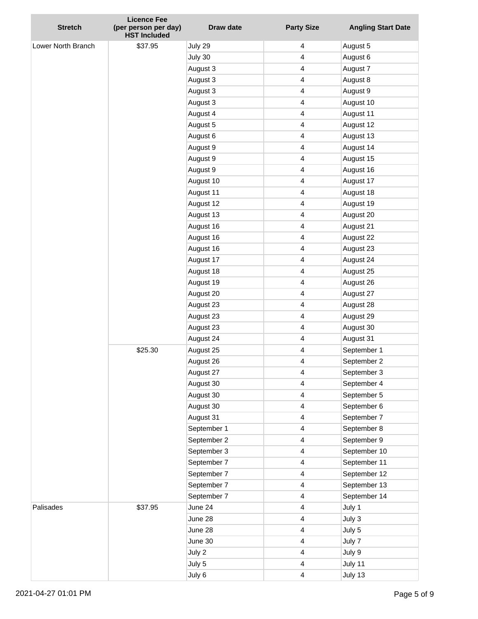|                    | <b>Licence Fee</b>                          |             |                         |                           |
|--------------------|---------------------------------------------|-------------|-------------------------|---------------------------|
| <b>Stretch</b>     | (per person per day)<br><b>HST Included</b> | Draw date   | <b>Party Size</b>       | <b>Angling Start Date</b> |
| Lower North Branch | \$37.95                                     | July 29     | 4                       | August 5                  |
|                    |                                             | July 30     | 4                       | August 6                  |
|                    |                                             | August 3    | $\overline{4}$          | August 7                  |
|                    |                                             | August 3    | 4                       | August 8                  |
|                    |                                             | August 3    | 4                       | August 9                  |
|                    |                                             | August 3    | $\overline{4}$          | August 10                 |
|                    |                                             | August 4    | 4                       | August 11                 |
|                    |                                             | August 5    | $\overline{4}$          | August 12                 |
|                    |                                             | August 6    | 4                       | August 13                 |
|                    |                                             | August 9    | 4                       | August 14                 |
|                    |                                             | August 9    | 4                       | August 15                 |
|                    |                                             | August 9    | 4                       | August 16                 |
|                    |                                             | August 10   | $\overline{\mathbf{4}}$ | August 17                 |
|                    |                                             | August 11   | 4                       | August 18                 |
|                    |                                             | August 12   | 4                       | August 19                 |
|                    |                                             | August 13   | $\overline{4}$          | August 20                 |
|                    |                                             | August 16   | 4                       | August 21                 |
|                    |                                             | August 16   | $\overline{4}$          | August 22                 |
|                    |                                             | August 16   | 4                       | August 23                 |
|                    |                                             | August 17   | 4                       | August 24                 |
|                    |                                             | August 18   | $\overline{4}$          | August 25                 |
|                    |                                             | August 19   | 4                       | August 26                 |
|                    |                                             | August 20   | $\overline{\mathbf{4}}$ | August 27                 |
|                    |                                             | August 23   | 4                       | August 28                 |
|                    |                                             | August 23   | 4                       | August 29                 |
|                    |                                             | August 23   | 4                       | August 30                 |
|                    |                                             | August 24   | 4                       | August 31                 |
|                    | \$25.30                                     | August 25   | 4                       | September 1               |
|                    |                                             | August 26   | 4                       | September 2               |
|                    |                                             | August 27   | 4                       | September 3               |
|                    |                                             | August 30   | 4                       | September 4               |
|                    |                                             | August 30   | 4                       | September 5               |
|                    |                                             | August 30   | 4                       | September 6               |
|                    |                                             | August 31   | 4                       | September 7               |
|                    |                                             | September 1 | 4                       | September 8               |
|                    |                                             | September 2 | 4                       | September 9               |
|                    |                                             | September 3 | 4                       | September 10              |
|                    |                                             | September 7 | $\overline{\mathbf{4}}$ | September 11              |
|                    |                                             | September 7 | 4                       | September 12              |
|                    |                                             | September 7 | 4                       | September 13              |
|                    |                                             | September 7 | 4                       | September 14              |
| Palisades          | \$37.95                                     | June 24     | 4                       | July 1                    |
|                    |                                             | June 28     | $\overline{\mathbf{4}}$ | July 3                    |
|                    |                                             | June 28     | 4                       | July 5                    |
|                    |                                             | June 30     | 4                       | July 7                    |
|                    |                                             | July 2      | 4                       | July 9                    |
|                    |                                             | July 5      | 4                       | July 11                   |
|                    |                                             | July 6      | $\overline{\mathbf{4}}$ | July 13                   |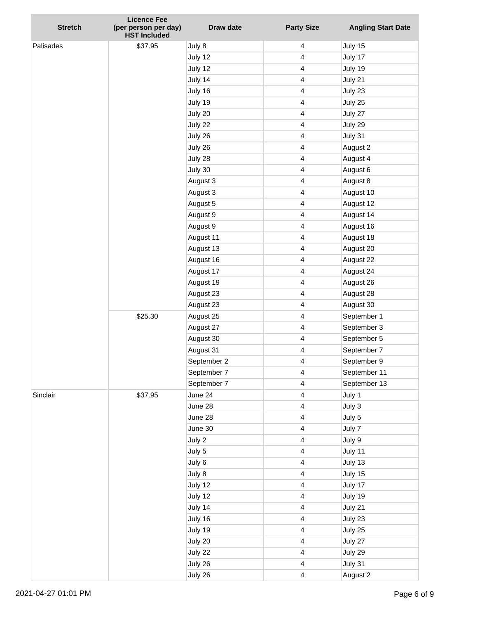| <b>Stretch</b> | <b>Licence Fee</b><br>(per person per day) | Draw date   | <b>Party Size</b>       | <b>Angling Start Date</b> |
|----------------|--------------------------------------------|-------------|-------------------------|---------------------------|
|                | <b>HST Included</b>                        |             |                         |                           |
| Palisades      | \$37.95                                    | July 8      | 4                       | July 15                   |
|                |                                            | July 12     | 4                       | July 17                   |
|                |                                            | July 12     | $\overline{4}$          | July 19                   |
|                |                                            | July 14     | 4                       | July 21                   |
|                |                                            | July 16     | 4                       | July 23                   |
|                |                                            | July 19     | 4                       | July 25                   |
|                |                                            | July 20     | 4                       | July 27                   |
|                |                                            | July 22     | $\overline{4}$          | July 29                   |
|                |                                            | July 26     | 4                       | July 31                   |
|                |                                            | July 26     | 4                       | August 2                  |
|                |                                            | July 28     | 4                       | August 4                  |
|                |                                            | July 30     | 4                       | August 6                  |
|                |                                            | August 3    | $\overline{4}$          | August 8                  |
|                |                                            | August 3    | 4                       | August 10                 |
|                |                                            | August 5    | 4                       | August 12                 |
|                |                                            | August 9    | $\overline{4}$          | August 14                 |
|                |                                            | August 9    | 4                       | August 16                 |
|                |                                            | August 11   | $\overline{\mathbf{4}}$ | August 18                 |
|                |                                            | August 13   | 4                       | August 20                 |
|                |                                            | August 16   | 4                       | August 22                 |
|                |                                            | August 17   | 4                       | August 24                 |
|                |                                            | August 19   | 4                       | August 26                 |
|                |                                            | August 23   | $\overline{\mathbf{4}}$ | August 28                 |
|                |                                            | August 23   | 4                       | August 30                 |
|                | \$25.30                                    | August 25   | 4                       | September 1               |
|                |                                            | August 27   | $\overline{4}$          | September 3               |
|                |                                            | August 30   | 4                       | September 5               |
|                |                                            | August 31   | $\overline{4}$          | September 7               |
|                |                                            | September 2 | 4                       | September 9               |
|                |                                            | September 7 | 4                       | September 11              |
|                |                                            | September 7 | 4                       | September 13              |
| Sinclair       | \$37.95                                    | June 24     | 4                       | July 1                    |
|                |                                            | June 28     | $\overline{\mathbf{4}}$ | July 3                    |
|                |                                            | June 28     | 4                       | July 5                    |
|                |                                            | June 30     | 4                       | July 7                    |
|                |                                            | July 2      | 4                       | July 9                    |
|                |                                            | July 5      | 4                       | July 11                   |
|                |                                            | July 6      | $\overline{\mathbf{4}}$ | July 13                   |
|                |                                            | July 8      | $\overline{4}$          | July 15                   |
|                |                                            | July 12     | 4                       | July 17                   |
|                |                                            | July 12     | 4                       | July 19                   |
|                |                                            | July 14     | 4                       | July 21                   |
|                |                                            | July 16     | $\overline{\mathbf{4}}$ | July 23                   |
|                |                                            | July 19     | $\overline{4}$          | July 25                   |
|                |                                            | July 20     | 4                       | July 27                   |
|                |                                            | July 22     | 4                       | July 29                   |
|                |                                            | July 26     | 4                       | July 31                   |
|                |                                            | July 26     | $\overline{\mathbf{4}}$ | August 2                  |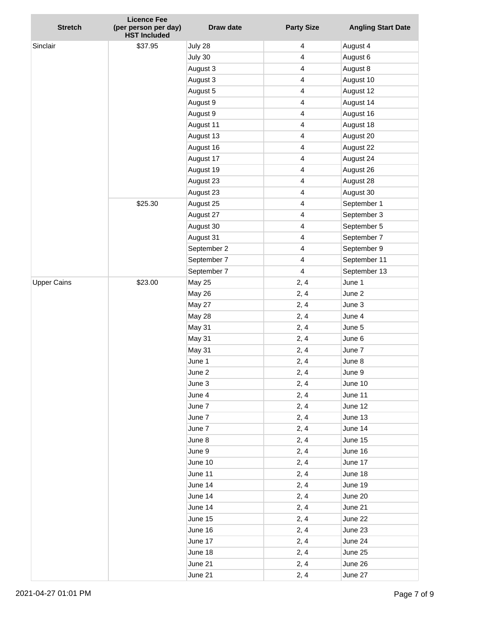| <b>Stretch</b>     | <b>Licence Fee</b><br>(per person per day)<br><b>HST Included</b> | Draw date     | <b>Party Size</b>       | <b>Angling Start Date</b> |
|--------------------|-------------------------------------------------------------------|---------------|-------------------------|---------------------------|
| Sinclair           | \$37.95                                                           | July 28       | 4                       | August 4                  |
|                    |                                                                   | July 30       | 4                       | August 6                  |
|                    |                                                                   | August 3      | $\overline{\mathbf{4}}$ | August 8                  |
|                    |                                                                   | August 3      | 4                       | August 10                 |
|                    |                                                                   | August 5      | 4                       | August 12                 |
|                    |                                                                   | August 9      | $\overline{4}$          | August 14                 |
|                    |                                                                   | August 9      | 4                       | August 16                 |
|                    |                                                                   | August 11     | 4                       | August 18                 |
|                    |                                                                   | August 13     | 4                       | August 20                 |
|                    |                                                                   | August 16     | 4                       | August 22                 |
|                    |                                                                   | August 17     | $\overline{4}$          | August 24                 |
|                    |                                                                   | August 19     | 4                       | August 26                 |
|                    |                                                                   | August 23     | 4                       | August 28                 |
|                    |                                                                   | August 23     | 4                       | August 30                 |
|                    | \$25.30                                                           | August 25     | 4                       | September 1               |
|                    |                                                                   | August 27     | $\overline{4}$          | September 3               |
|                    |                                                                   | August 30     | 4                       | September 5               |
|                    |                                                                   | August 31     | 4                       | September 7               |
|                    |                                                                   | September 2   | 4                       | September 9               |
|                    |                                                                   | September 7   | 4                       | September 11              |
|                    |                                                                   | September 7   | $\overline{\mathbf{4}}$ | September 13              |
| <b>Upper Cains</b> | \$23.00                                                           | <b>May 25</b> | 2, 4                    | June 1                    |
|                    |                                                                   | May 26        | 2, 4                    | June 2                    |
|                    |                                                                   | May 27        | 2, 4                    | June 3                    |
|                    |                                                                   | May 28        | 2, 4                    | June 4                    |
|                    |                                                                   | May 31        | 2, 4                    | June 5                    |
|                    |                                                                   | May 31        | 2, 4                    | June 6                    |
|                    |                                                                   | May 31        | 2, 4                    | June 7                    |
|                    |                                                                   | June 1        | 2, 4                    | June 8                    |
|                    |                                                                   | June 2        | 2, 4                    | June 9                    |
|                    |                                                                   | June 3        | 2, 4                    | June 10                   |
|                    |                                                                   | June 4        | 2, 4                    | June 11                   |
|                    |                                                                   | June 7        | 2, 4                    | June 12                   |
|                    |                                                                   | June 7        | 2, 4                    | June 13                   |
|                    |                                                                   | June 7        | 2, 4                    | June 14                   |
|                    |                                                                   | June 8        | 2, 4                    | June 15                   |
|                    |                                                                   | June 9        | 2, 4                    | June 16                   |
|                    |                                                                   | June 10       | 2, 4                    | June 17                   |
|                    |                                                                   | June 11       | 2, 4                    | June 18                   |
|                    |                                                                   | June 14       | 2, 4                    | June 19                   |
|                    |                                                                   | June 14       | 2, 4                    | June 20                   |
|                    |                                                                   | June 14       | 2, 4                    | June 21                   |
|                    |                                                                   | June 15       | 2, 4                    | June 22                   |
|                    |                                                                   | June 16       | 2, 4                    | June 23                   |
|                    |                                                                   | June 17       | 2, 4                    | June 24                   |
|                    |                                                                   | June 18       | 2, 4                    | June 25                   |
|                    |                                                                   | June 21       | 2, 4                    | June 26                   |
|                    |                                                                   | June 21       | 2, 4                    | June 27                   |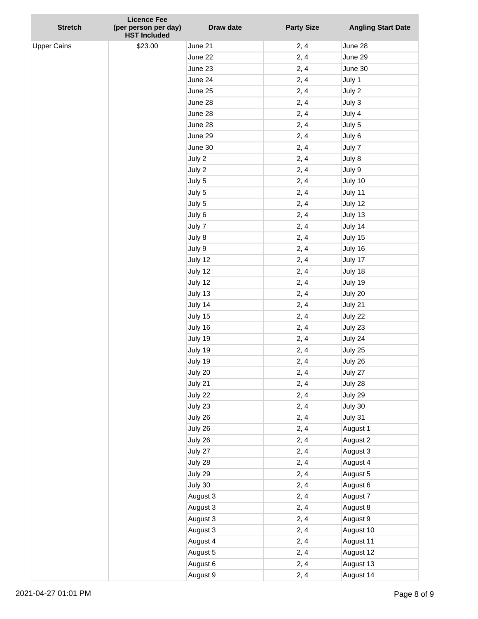| <b>Stretch</b>     | <b>Licence Fee</b><br>(per person per day) | Draw date          | <b>Party Size</b> | <b>Angling Start Date</b> |
|--------------------|--------------------------------------------|--------------------|-------------------|---------------------------|
| <b>Upper Cains</b> | <b>HST Included</b><br>\$23.00             | June 21            |                   | June 28                   |
|                    |                                            | June 22            | 2, 4<br>2, 4      | June 29                   |
|                    |                                            | June 23            | 2, 4              | June 30                   |
|                    |                                            | June 24            | 2, 4              | July 1                    |
|                    |                                            | June 25            | 2, 4              | July 2                    |
|                    |                                            | June 28            | 2, 4              | July 3                    |
|                    |                                            | June 28            | 2, 4              | July 4                    |
|                    |                                            | June 28            | 2, 4              | July 5                    |
|                    |                                            | June 29            | 2, 4              | July 6                    |
|                    |                                            | June 30            | 2, 4              | July 7                    |
|                    |                                            | July 2             | 2, 4              | July 8                    |
|                    |                                            | July 2             | 2, 4              | July 9                    |
|                    |                                            | July 5             | 2, 4              | July 10                   |
|                    |                                            | July 5             | 2, 4              | July 11                   |
|                    |                                            | July 5             | 2, 4              | July 12                   |
|                    |                                            |                    |                   | July 13                   |
|                    |                                            | July 6<br>July 7   | 2, 4              |                           |
|                    |                                            |                    | 2, 4<br>2, 4      | July 14                   |
|                    |                                            | July 8             |                   | July 15                   |
|                    |                                            | July 9             | 2, 4<br>2, 4      | July 16<br>July 17        |
|                    |                                            | July 12            |                   |                           |
|                    |                                            | July 12            | 2, 4              | July 18                   |
|                    |                                            | July 12<br>July 13 | 2, 4<br>2, 4      | July 19<br>July 20        |
|                    |                                            | July 14            |                   |                           |
|                    |                                            |                    | 2, 4<br>2, 4      | July 21<br>July 22        |
|                    |                                            | July 15            |                   |                           |
|                    |                                            | July 16            | 2, 4              | July 23                   |
|                    |                                            | July 19            | 2, 4              | July 24                   |
|                    |                                            | July 19<br>July 19 | 2, 4              | July 25<br>July 26        |
|                    |                                            |                    | 2, 4              |                           |
|                    |                                            | July 20            | 2, 4              | July 27                   |
|                    |                                            | July 21<br>July 22 | 2, 4              | July 28                   |
|                    |                                            |                    | 2, 4              | July 29                   |
|                    |                                            | July 23            | 2, 4              | July 30                   |
|                    |                                            | July 26            | 2, 4              | July 31                   |
|                    |                                            | July 26            | 2, 4              | August 1                  |
|                    |                                            | July 26            | 2, 4              | August 2                  |
|                    |                                            | July 27            | 2, 4              | August 3<br>August 4      |
|                    |                                            | July 28            | 2, 4              |                           |
|                    |                                            | July 29            | 2, 4              | August 5                  |
|                    |                                            | July 30            | 2, 4              | August 6                  |
|                    |                                            | August 3           | 2, 4              | August 7                  |
|                    |                                            | August 3           | 2, 4              | August 8                  |
|                    |                                            | August 3           | 2, 4              | August 9                  |
|                    |                                            | August 3           | 2, 4              | August 10                 |
|                    |                                            | August 4           | 2, 4              | August 11                 |
|                    |                                            | August 5           | 2, 4              | August 12                 |
|                    |                                            | August 6           | 2, 4              | August 13                 |
|                    |                                            | August 9           | 2, 4              | August 14                 |